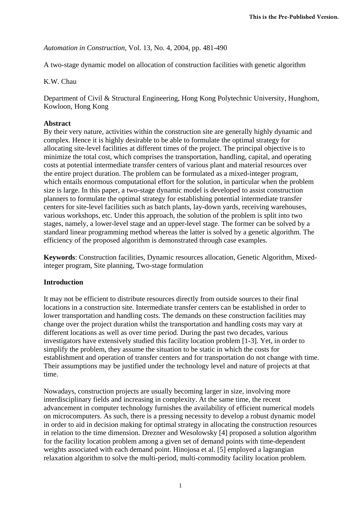*Automation in Construction*, Vol. 13, No. 4, 2004, pp. 481-490

A two-stage dynamic model on allocation of construction facilities with genetic algorithm

K.W. Chau

Department of Civil & Structural Engineering, Hong Kong Polytechnic University, Hunghom, Kowloon, Hong Kong

# **Abstract**

By their very nature, activities within the construction site are generally highly dynamic and complex. Hence it is highly desirable to be able to formulate the optimal strategy for allocating site-level facilities at different times of the project. The principal objective is to minimize the total cost, which comprises the transportation, handling, capital, and operating costs at potential intermediate transfer centers of various plant and material resources over the entire project duration. The problem can be formulated as a mixed-integer program, which entails enormous computational effort for the solution, in particular when the problem size is large. In this paper, a two-stage dynamic model is developed to assist construction planners to formulate the optimal strategy for establishing potential intermediate transfer centers for site-level facilities such as batch plants, lay-down yards, receiving warehouses, various workshops, etc. Under this approach, the solution of the problem is split into two stages, namely, a lower-level stage and an upper-level stage. The former can be solved by a standard linear programming method whereas the latter is solved by a genetic algorithm. The efficiency of the proposed algorithm is demonstrated through case examples.

**Keywords**: Construction facilities, Dynamic resources allocation, Genetic Algorithm, Mixedinteger program, Site planning, Two-stage formulation

# **Introduction**

It may not be efficient to distribute resources directly from outside sources to their final locations in a construction site. Intermediate transfer centers can be established in order to lower transportation and handling costs. The demands on these construction facilities may change over the project duration whilst the transportation and handling costs may vary at different locations as well as over time period. During the past two decades, various investigators have extensively studied this facility location problem [1-3]. Yet, in order to simplify the problem, they assume the situation to be static in which the costs for establishment and operation of transfer centers and for transportation do not change with time. Their assumptions may be justified under the technology level and nature of projects at that time.

Nowadays, construction projects are usually becoming larger in size, involving more interdisciplinary fields and increasing in complexity. At the same time, the recent advancement in computer technology furnishes the availability of efficient numerical models on microcomputers. As such, there is a pressing necessity to develop a robust dynamic model in order to aid in decision making for optimal strategy in allocating the construction resources in relation to the time dimension. Drezner and Wesolowsky [4] proposed a solution algorithm for the facility location problem among a given set of demand points with time-dependent weights associated with each demand point. Hinojosa et al. [5] employed a lagrangian relaxation algorithm to solve the multi-period, multi-commodity facility location problem.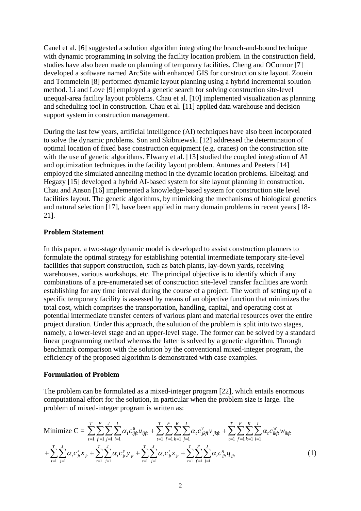Canel et al. [6] suggested a solution algorithm integrating the branch-and-bound technique with dynamic programming in solving the facility location problem. In the construction field, studies have also been made on planning of temporary facilities. Cheng and OConnor [7] developed a software named ArcSite with enhanced GIS for construction site layout. Zouein and Tommelein [8] performed dynamic layout planning using a hybrid incremental solution method. Li and Love [9] employed a genetic search for solving construction site-level unequal-area facility layout problems. Chau et al. [10] implemented visualization as planning and scheduling tool in construction. Chau et al. [11] applied data warehouse and decision support system in construction management.

During the last few years, artificial intelligence (AI) techniques have also been incorporated to solve the dynamic problems. Son and Skibniewski [12] addressed the determination of optimal location of fixed base construction equipment (e.g. cranes) on the construction site with the use of genetic algorithms. Elwany et al. [13] studied the coupled integration of AI and optimization techniques in the facility layout problem. Antunes and Peeters [14] employed the simulated annealing method in the dynamic location problems. Elbeltagi and Hegazy [15] developed a hybrid AI-based system for site layout planning in construction. Chau and Anson [16] implemented a knowledge-based system for construction site level facilities layout. The genetic algorithms, by mimicking the mechanisms of biological genetics and natural selection [17], have been applied in many domain problems in recent years [18- 21].

## **Problem Statement**

In this paper, a two-stage dynamic model is developed to assist construction planners to formulate the optimal strategy for establishing potential intermediate temporary site-level facilities that support construction, such as batch plants, lay-down yards, receiving warehouses, various workshops, etc. The principal objective is to identify which if any combinations of a pre-enumerated set of construction site-level transfer facilities are worth establishing for any time interval during the course of a project. The worth of setting up of a specific temporary facility is assessed by means of an objective function that minimizes the total cost, which comprises the transportation, handling, capital, and operating cost at potential intermediate transfer centers of various plant and material resources over the entire project duration. Under this approach, the solution of the problem is split into two stages, namely, a lower-level stage and an upper-level stage. The former can be solved by a standard linear programming method whereas the latter is solved by a genetic algorithm. Through benchmark comparison with the solution by the conventional mixed-integer program, the efficiency of the proposed algorithm is demonstrated with case examples.

#### **Formulation of Problem**

The problem can be formulated as a mixed-integer program [22], which entails enormous computational effort for the solution, in particular when the problem size is large. The problem of mixed-integer program is written as:

Minimize 
$$
C = \sum_{t=1}^{T} \sum_{j=1}^{F} \sum_{i=1}^{J} \sum_{j=1}^{I} \alpha_{i} c_{ijj}^{\mu} u_{ijj} + \sum_{t=1}^{T} \sum_{j=1}^{F} \sum_{k=1}^{K} \sum_{j=1}^{J} \alpha_{i} c_{jkj}^{\nu} v_{jkj} + \sum_{t=1}^{T} \sum_{j=1}^{F} \sum_{k=1}^{K} \sum_{i=1}^{J} \alpha_{i} c_{ikj}^{\nu} w_{ikj}
$$
  
+ 
$$
\sum_{t=1}^{T} \sum_{j=1}^{J} \alpha_{i} c_{jt}^{\nu} x_{jt} + \sum_{t=1}^{T} \sum_{j=1}^{J} \alpha_{i} c_{jt}^{\nu} y_{jt} + \sum_{t=1}^{T} \sum_{j=1}^{J} \alpha_{i} c_{jt}^{\nu} z_{jt} + \sum_{t=1}^{T} \sum_{j=1}^{F} \sum_{j=1}^{J} \alpha_{i} c_{jt}^{q} q_{jt}
$$
(1)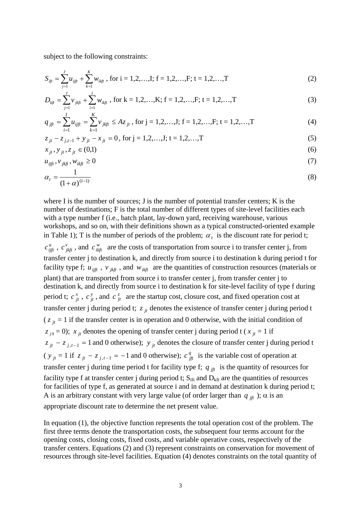subject to the following constraints:

$$
S_{ijt} = \sum_{j=1}^{J} u_{ijt} + \sum_{k=1}^{K} w_{ikt}
$$
, for i = 1,2,...,I; f = 1,2,...,F; t = 1,2,...,T (2)

$$
D_{k\hat{t}} = \sum_{j=1}^{J} v_{j k \hat{t}} + \sum_{i=1}^{I} w_{i k \hat{t}} \text{, for k = 1,2,...,K; f = 1,2,...,F; t = 1,2,...,T} \tag{3}
$$

$$
q_{jft} = \sum_{i=1}^{I} u_{ijft} = \sum_{k=1}^{K} v_{jkft} \le Az_{jt}, \text{ for } j = 1, 2, ..., J; \ f = 1, 2, ..., F; \ t = 1, 2, ..., T \tag{4}
$$

$$
z_{jt} - z_{j,t-1} + y_{jt} - x_{jt} = 0, \text{ for } j = 1, 2, \dots, J; t = 1, 2, \dots, T
$$
 (5)

$$
x_{jt}, y_{jt}, z_{jt} \in (0,1) \tag{6}
$$

$$
u_{ijft}, v_{jkft}, w_{ikft} \ge 0 \tag{7}
$$

$$
\alpha_t = \frac{1}{\left(1 + \alpha\right)^{(t-1)}}\tag{8}
$$

where I is the number of sources; J is the number of potential transfer centers; K is the number of destinations; F is the total number of different types of site-level facilities each with a type number f (i.e., batch plant, lay-down yard, receiving warehouse, various workshops, and so on, with their definitions shown as a typical constructed-oriented example in Table 1); T is the number of periods of the problem;  $\alpha_t$  is the discount rate for period t;

 $c_{ijft}^u$ ,  $c_{jkft}^v$ , and  $c_{ikft}^w$  are the costs of transportation from source i to transfer center j, from transfer center j to destination k, and directly from source i to destination k during period t for facility type f;  $u_{ijft}$ ,  $v_{jkt}$ , and  $w_{ikft}$  are the quantities of construction resources (materials or plant) that are transported from source i to transfer center j, from transfer center j to destination k, and directly from source i to destination k for site-level facility of type f during period t;  $c_{it}^x$ ,  $c_{it}^y$ , and  $c_{it}^z$  are the startup cost, closure cost, and fixed operation cost at transfer center j during period t;  $z_{ji}$  denotes the existence of transfer center j during period t  $(z_j_t = 1$  if the transfer center is in operation and 0 otherwise, with the initial condition of  $z_{j0} = 0$ );  $x_{jt}$  denotes the opening of transfer center j during period t ( $x_{jt} = 1$  if  $z_{jt} - z_{j,t-1} = 1$  and 0 otherwise);  $y_{jt}$  denotes the closure of transfer center j during period t  $(y_{ji} = 1 \text{ if } z_{ji} - z_{j,t-1} = -1 \text{ and } 0 \text{ otherwise}; c_{jft}^q$  is the variable cost of operation at transfer center j during time period t for facility type f;  $q_{jft}$  is the quantity of resources for facility type f at transfer center j during period t;  $S_{\text{ift}}$  and  $D_{\text{kft}}$  are the quantities of resources for facilities of type f, as generated at source i and in demand at destination k during period t; A is an arbitrary constant with very large value (of order larger than  $q_{jft}$ );  $\alpha$  is an appropriate discount rate to determine the net present value. *jt*  $\frac{x}{jt}$ ,  $c \frac{y}{jt}$ , and  $c \frac{z}{jt}$  $\frac{x}{jt}$ ,  $c$ 

In equation (1), the objective function represents the total operation cost of the problem. The first three terms denote the transportation costs, the subsequent four terms account for the opening costs, closing costs, fixed costs, and variable operative costs, respectively of the transfer centers. Equations (2) and (3) represent constraints on conservation for movement of resources through site-level facilities. Equation (4) denotes constraints on the total quantity of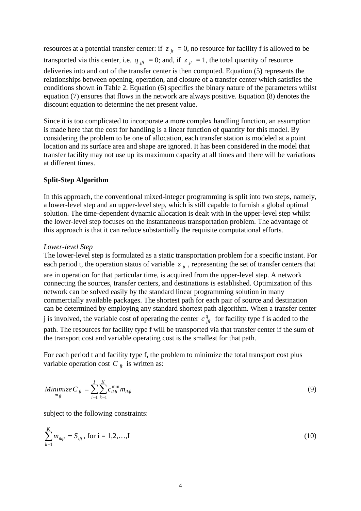resources at a potential transfer center: if  $z_{jt} = 0$ , no resource for facility f is allowed to be transported via this center, i.e.  $q_{jft} = 0$ ; and, if  $z_{jt} = 1$ , the total quantity of resource deliveries into and out of the transfer center is then computed. Equation (5) represents the relationships between opening, operation, and closure of a transfer center which satisfies the conditions shown in Table 2. Equation (6) specifies the binary nature of the parameters whilst equation (7) ensures that flows in the network are always positive. Equation (8) denotes the discount equation to determine the net present value.

Since it is too complicated to incorporate a more complex handling function, an assumption is made here that the cost for handling is a linear function of quantity for this model. By considering the problem to be one of allocation, each transfer station is modeled at a point location and its surface area and shape are ignored. It has been considered in the model that transfer facility may not use up its maximum capacity at all times and there will be variations at different times.

# **Split-Step Algorithm**

In this approach, the conventional mixed-integer programming is split into two steps, namely, a lower-level step and an upper-level step, which is still capable to furnish a global optimal solution. The time-dependent dynamic allocation is dealt with in the upper-level step whilst the lower-level step focuses on the instantaneous transportation problem. The advantage of this approach is that it can reduce substantially the requisite computational efforts.

#### *Lower-level Step*

The lower-level step is formulated as a static transportation problem for a specific instant. For each period t, the operation status of variable  $z_{jt}$ , representing the set of transfer centers that are in operation for that particular time, is acquired from the upper-level step. A network connecting the sources, transfer centers, and destinations is established. Optimization of this network can be solved easily by the standard linear programming solution in many commercially available packages. The shortest path for each pair of source and destination can be determined by employing any standard shortest path algorithm. When a transfer center *j* is involved, the variable cost of operating the center  $c_{jft}^q$  for facility type f is added to the path. The resources for facility type f will be transported via that transfer center if the sum of the transport cost and variable operating cost is the smallest for that path.

For each period t and facility type f, the problem to minimize the total transport cost plus variable operation cost  $C<sub>f</sub>$  is written as:

Minimize 
$$
C_{ft} = \sum_{i=1}^{I} \sum_{k=1}^{K} c_{ikft}^{min} m_{ikft}
$$
 (9)

subject to the following constraints:

$$
\sum_{k=1}^{K} m_{ikft} = S_{ift}, \text{ for } i = 1, 2, \dots, I
$$
 (10)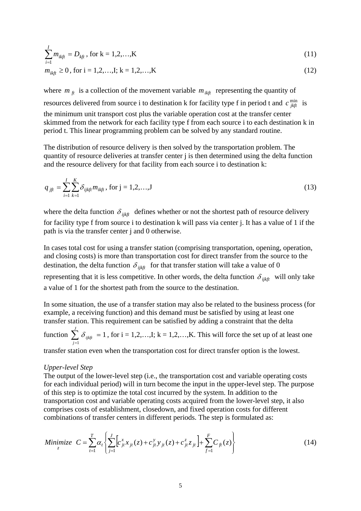$$
\sum_{i=1}^{I} m_{ikft} = D_{kft}, \text{ for } k = 1, 2, ..., K
$$
\n
$$
m_{ikft} \ge 0, \text{ for } i = 1, 2, ..., I; k = 1, 2, ..., K
$$
\n
$$
(12)
$$

where  $m_{\hat{f}t}$  is a collection of the movement variable  $m_{ikft}$  representing the quantity of resources delivered from source i to destination k for facility type f in period t and  $c \frac{\text{min}}{j k f t}$  is the minimum unit transport cost plus the variable operation cost at the transfer center skimmed from the network for each facility type f from each source i to each destination k in period t. This linear programming problem can be solved by any standard routine.

The distribution of resource delivery is then solved by the transportation problem. The quantity of resource deliveries at transfer center j is then determined using the delta function and the resource delivery for that facility from each source i to destination k:

$$
q_{jft} = \sum_{i=1}^{I} \sum_{k=1}^{K} \delta_{ijkft} m_{ikft}, \text{ for } j = 1, 2, ..., J
$$
 (13)

where the delta function  $\delta_{ijkft}$  defines whether or not the shortest path of resource delivery for facility type f from source i to destination k will pass via center j. It has a value of 1 if the path is via the transfer center j and 0 otherwise.

In cases total cost for using a transfer station (comprising transportation, opening, operation, and closing costs) is more than transportation cost for direct transfer from the source to the destination, the delta function  $\delta_{ijkft}$  for that transfer station will take a value of 0 representing that it is less competitive. In other words, the delta function  $\delta_{ijkft}$  will only take a value of 1 for the shortest path from the source to the destination.

In some situation, the use of a transfer station may also be related to the business process (for example, a receiving function) and this demand must be satisfied by using at least one transfer station. This requirement can be satisfied by adding a constraint that the delta

function  $\sum \delta_{iik} = 1$ , for i = 1,2,...,I; k = 1,2,...,K. This will force the set up of at least one  $\sum_{j=1}^J\, \delta_{\, ijk\!f\!t}\,\,=\,\,$ *j*  $\delta_{_{\it ijkft}}$ 

transfer station even when the transportation cost for direct transfer option is the lowest.

#### *Upper-level Step*

The output of the lower-level step (i.e., the transportation cost and variable operating costs for each individual period) will in turn become the input in the upper-level step. The purpose of this step is to optimize the total cost incurred by the system. In addition to the transportation cost and variable operating costs acquired from the lower-level step, it also comprises costs of establishment, closedown, and fixed operation costs for different combinations of transfer centers in different periods. The step is formulated as:

Minimize 
$$
C = \sum_{t=1}^{T} \alpha_t \left\{ \sum_{j=1}^{J} \left[ c_{jt}^{x} x_{jt}(z) + c_{jt}^{y} y_{jt}(z) + c_{jt}^{z} z_{jt} \right] + \sum_{f=1}^{F} C_{ft}(z) \right\}
$$
(14)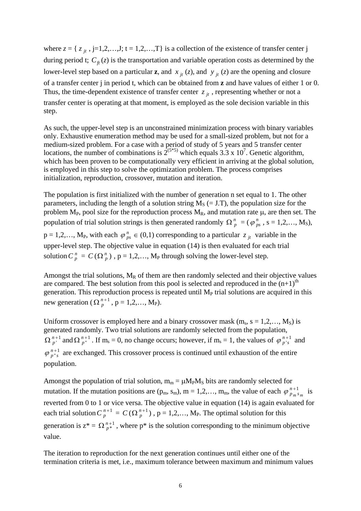where  $z = \{ z_{jt}, j=1,2,...,J; t = 1,2,...,T \}$  is a collection of the existence of transfer center j during period t;  $C_{ft}(z)$  is the transportation and variable operation costs as determined by the lower-level step based on a particular **z**, and  $x_{jt}(z)$ , and  $y_{jt}(z)$  are the opening and closure of a transfer center j in period t, which can be obtained from **z** and have values of either 1 or 0. Thus, the time-dependent existence of transfer center  $z_{jt}$ , representing whether or not a transfer center is operating at that moment, is employed as the sole decision variable in this step.

As such, the upper-level step is an unconstrained minimization process with binary variables only. Exhaustive enumeration method may be used for a small-sized problem, but not for a medium-sized problem. For a case with a period of study of 5 years and 5 transfer center locations, the number of combinations is  $2^{(5*5)}$  which equals 3.3 x 10<sup>7</sup>. Genetic algorithm, which has been proven to be computationally very efficient in arriving at the global solution, is employed in this step to solve the optimization problem. The process comprises initialization, reproduction, crossover, mutation and iteration.

The population is first initialized with the number of generation n set equal to 1. The other parameters, including the length of a solution string  $M<sub>S</sub> (= J.T)$ , the population size for the problem  $M_P$ , pool size for the reproduction process  $M_R$ , and mutation rate  $\mu$ , are then set. The population of trial solution strings is then generated randomly  $\Omega_p^n = (\varphi_p^n, s = 1,2,..., M_s)$ ,  $p = 1, 2, \ldots, M_P$ , with each  $\varphi_{ps}^n \in (0, 1)$  corresponding to a particular  $z_{jt}$  variable in the

upper-level step. The objective value in equation (14) is then evaluated for each trial solution  $C_p^n = C(\Omega_p^n)$ ,  $p = 1,2,..., M_p$  through solving the lower-level step.

Amongst the trial solutions,  $M_R$  of them are then randomly selected and their objective values are compared. The best solution from this pool is selected and reproduced in the  $(n+1)$ <sup>th</sup> generation. This reproduction process is repeated until  $M<sub>P</sub>$  trial solutions are acquired in this new generation ( $\Omega_p^{n+1}$ ,  $p = 1, 2, ..., M_P$ ).

Uniform crossover is employed here and a binary crossover mask  $(m_s, s = 1, 2, ..., M_S)$  is generated randomly. Two trial solutions are randomly selected from the population,  $\Omega_{p'}^{n+1}$  and  $\Omega_{p''}^{n+1}$ . If m<sub>s</sub> = 0, no change occurs; however, if m<sub>s</sub> = 1, the values of  $\varphi_{p's}^{n+1}$  and  $\frac{1}{s}$  are exchanged. This crossover process is continued until exhaustion of the entire population.  $\varphi p^{n+1}_{p^*s}$ 1  $\Omega_p^{n+1}$  $\varphi_p^{n+1}$ 

Amongst the population of trial solution,  $m_m = \mu M_P M_S$  bits are randomly selected for mutation. If the mutation positions are  $(p_m, s_m)$ ,  $m = 1, 2, \dots, m_m$ , the value of each  $\varphi_{p_m s_m}^{n+1}$  is reverted from 0 to 1 or vice versa. The objective value in equation (14) is again evaluated for each trial solution  $C_p^{n+1} = C(\Omega_p^{n+1})$ ,  $p = 1, 2, ..., M_p$ . The optimal solution for this generation is  $z^* = \Omega_{n*}^{n+1}$ , where p<sup>\*</sup> is the solution corresponding to the minimum objective value.  $\Omega_{p^{*}}^{n+1}$ 

The iteration to reproduction for the next generation continues until either one of the termination criteria is met, i.e., maximum tolerance between maximum and minimum values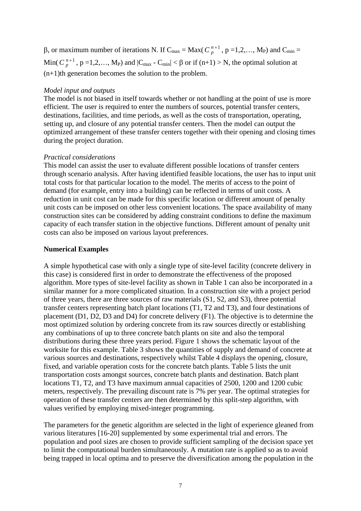β, or maximum number of iterations N. If  $C_{max} = Max(C_p^{n+1}, p = 1,2,..., M_P)$  and  $C_{min} =$ Min( $C_p^{n+1}$ ,  $p = 1,2,..., M_P$ ) and  $|C_{max} - C_{min}| < \beta$  or if  $(n+1) > N$ , the optimal solution at (n+1)th generation becomes the solution to the problem.

### *Model input and outputs*

The model is not biased in itself towards whether or not handling at the point of use is more efficient. The user is required to enter the numbers of sources, potential transfer centers, destinations, facilities, and time periods, as well as the costs of transportation, operating, setting up, and closure of any potential transfer centers. Then the model can output the optimized arrangement of these transfer centers together with their opening and closing times during the project duration.

### *Practical considerations*

This model can assist the user to evaluate different possible locations of transfer centers through scenario analysis. After having identified feasible locations, the user has to input unit total costs for that particular location to the model. The merits of access to the point of demand (for example, entry into a building) can be reflected in terms of unit costs. A reduction in unit cost can be made for this specific location or different amount of penalty unit costs can be imposed on other less convenient locations. The space availability of many construction sites can be considered by adding constraint conditions to define the maximum capacity of each transfer station in the objective functions. Different amount of penalty unit costs can also be imposed on various layout preferences.

### **Numerical Examples**

A simple hypothetical case with only a single type of site-level facility (concrete delivery in this case) is considered first in order to demonstrate the effectiveness of the proposed algorithm. More types of site-level facility as shown in Table 1 can also be incorporated in a similar manner for a more complicated situation. In a construction site with a project period of three years, there are three sources of raw materials (S1, S2, and S3), three potential transfer centers representing batch plant locations (T1, T2 and T3), and four destinations of placement (D1, D2, D3 and D4) for concrete delivery (F1). The objective is to determine the most optimized solution by ordering concrete from its raw sources directly or establishing any combinations of up to three concrete batch plants on site and also the temporal distributions during these three years period. Figure 1 shows the schematic layout of the worksite for this example. Table 3 shows the quantities of supply and demand of concrete at various sources and destinations, respectively whilst Table 4 displays the opening, closure, fixed, and variable operation costs for the concrete batch plants. Table 5 lists the unit transportation costs amongst sources, concrete batch plants and destination. Batch plant locations T1, T2, and T3 have maximum annual capacities of 2500, 1200 and 1200 cubic meters, respectively. The prevailing discount rate is 7% per year. The optimal strategies for operation of these transfer centers are then determined by this split-step algorithm, with values verified by employing mixed-integer programming.

The parameters for the genetic algorithm are selected in the light of experience gleaned from various literatures [16-20] supplemented by some experimental trial and errors. The population and pool sizes are chosen to provide sufficient sampling of the decision space yet to limit the computational burden simultaneously. A mutation rate is applied so as to avoid being trapped in local optima and to preserve the diversification among the population in the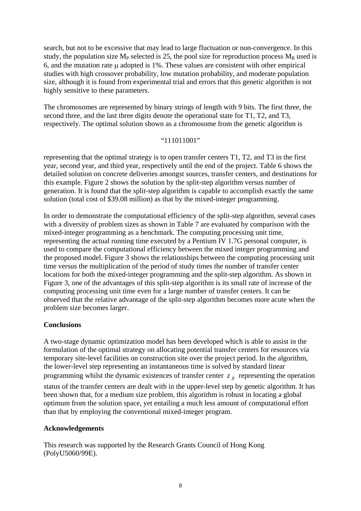search, but not to be excessive that may lead to large fluctuation or non-convergence. In this study, the population size  $M_P$  selected is 25, the pool size for reproduction process  $M_R$  used is 6, and the mutation rate μ adopted is 1%. These values are consistent with other empirical studies with high crossover probability, low mutation probability, and moderate population size, although it is found from experimental trial and errors that this genetic algorithm is not highly sensitive to these parameters.

The chromosomes are represented by binary strings of length with 9 bits. The first three, the second three, and the last three digits denote the operational state for T1, T2, and T3, respectively. The optimal solution shown as a chromosome from the genetic algorithm is

### "111011001"

representing that the optimal strategy is to open transfer centers T1, T2, and T3 in the first year, second year, and third year, respectively until the end of the project. Table 6 shows the detailed solution on concrete deliveries amongst sources, transfer centers, and destinations for this example. Figure 2 shows the solution by the split-step algorithm versus number of generation. It is found that the split-step algorithm is capable to accomplish exactly the same solution (total cost of \$39.08 million) as that by the mixed-integer programming.

In order to demonstrate the computational efficiency of the split-step algorithm, several cases with a diversity of problem sizes as shown in Table 7 are evaluated by comparison with the mixed-integer programming as a benchmark. The computing processing unit time, representing the actual running time executed by a Pentium IV 1.7G personal computer, is used to compare the computational efficiency between the mixed integer programming and the proposed model. Figure 3 shows the relationships between the computing processing unit time versus the multiplication of the period of study times the number of transfer center locations for both the mixed-integer programming and the split-step algorithm. As shown in Figure 3, one of the advantages of this split-step algorithm is its small rate of increase of the computing processing unit time even for a large number of transfer centers. It can be observed that the relative advantage of the split-step algorithm becomes more acute when the problem size becomes larger.

# **Conclusions**

A two-stage dynamic optimization model has been developed which is able to assist in the formulation of the optimal strategy on allocating potential transfer centers for resources via temporary site-level facilities on construction site over the project period. In the algorithm, the lower-level step representing an instantaneous time is solved by standard linear programming whilst the dynamic existences of transfer center  $z_{it}$  representing the operation status of the transfer centers are dealt with in the upper-level step by genetic algorithm. It has been shown that, for a medium size problem, this algorithm is robust in locating a global optimum from the solution space, yet entailing a much less amount of computational effort than that by employing the conventional mixed-integer program.

# **Acknowledgements**

This research was supported by the Research Grants Council of Hong Kong (PolyU5060/99E).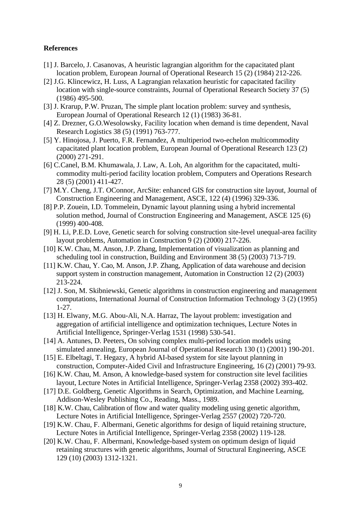### **References**

- [1] J. Barcelo, J. Casanovas, A heuristic lagrangian algorithm for the capacitated plant location problem, European Journal of Operational Research 15 (2) (1984) 212-226.
- [2] J.G. Klincewicz, H. Luss, A Lagrangian relaxation heuristic for capacitated facility location with single-source constraints, Journal of Operational Research Society 37 (5) (1986) 495-500.
- [3] J. Krarup, P.W. Pruzan, The simple plant location problem: survey and synthesis, European Journal of Operational Research 12 (1) (1983) 36-81.
- [4] Z. Drezner, G.O.Wesolowsky, Facility location when demand is time dependent, Naval Research Logistics 38 (5) (1991) 763-777.
- [5] Y. Hinojosa, J. Puerto, F.R. Fernandez, A multiperiod two-echelon multicommodity capacitated plant location problem, European Journal of Operational Research 123 (2) (2000) 271-291.
- [6] C.Canel, B.M. Khumawala, J. Law, A. Loh, An algorithm for the capacitated, multicommodity multi-period facility location problem, Computers and Operations Research 28 (5) (2001) 411-427.
- [7] M.Y. Cheng, J.T. OConnor, ArcSite: enhanced GIS for construction site layout, Journal of Construction Engineering and Management, ASCE, 122 (4) (1996) 329-336.
- [8] P.P. Zouein, I.D. Tommelein, Dynamic layout planning using a hybrid incremental solution method, Journal of Construction Engineering and Management, ASCE 125 (6) (1999) 400-408.
- [9] H. Li, P.E.D. Love, Genetic search for solving construction site-level unequal-area facility layout problems, Automation in Construction 9 (2) (2000) 217-226.
- [10] K.W. Chau, M. Anson, J.P. Zhang, Implementation of visualization as planning and scheduling tool in construction, Building and Environment 38 (5) (2003) 713-719.
- [11] K.W. Chau, Y. Cao, M. Anson, J.P. Zhang, Application of data warehouse and decision support system in construction management, Automation in Construction 12 (2) (2003) 213-224.
- [12] J. Son, M. Skibniewski, Genetic algorithms in construction engineering and management computations, International Journal of Construction Information Technology 3 (2) (1995) 1-27.
- [13] H. Elwany, M.G. Abou-Ali, N.A. Harraz, The layout problem: investigation and aggregation of artificial intelligence and optimization techniques, Lecture Notes in Artificial Intelligence, Springer-Verlag 1531 (1998) 530-541.
- [14] A. Antunes, D. Peeters, On solving complex multi-period location models using simulated annealing, European Journal of Operational Research 130 (1) (2001) 190-201.
- [15] E. Elbeltagi, T. Hegazy, A hybrid AI-based system for site layout planning in construction, Computer-Aided Civil and Infrastructure Engineering, 16 (2) (2001) 79-93.
- [16] K.W. Chau, M. Anson, A knowledge-based system for construction site level facilities layout, Lecture Notes in Artificial Intelligence, Springer-Verlag 2358 (2002) 393-402.
- [17] D.E. Goldberg, Genetic Algorithms in Search, Optimization, and Machine Learning, Addison-Wesley Publishing Co., Reading, Mass., 1989.
- [18] K.W. Chau, Calibration of flow and water quality modeling using genetic algorithm, Lecture Notes in Artificial Intelligence, Springer-Verlag 2557 (2002) 720-720.
- [19] K.W. Chau, F. Albermani, Genetic algorithms for design of liquid retaining structure, Lecture Notes in Artificial Intelligence, Springer-Verlag 2358 (2002) 119-128.
- [20] K.W. Chau, F. Albermani, Knowledge-based system on optimum design of liquid retaining structures with genetic algorithms, Journal of Structural Engineering, ASCE 129 (10) (2003) 1312-1321.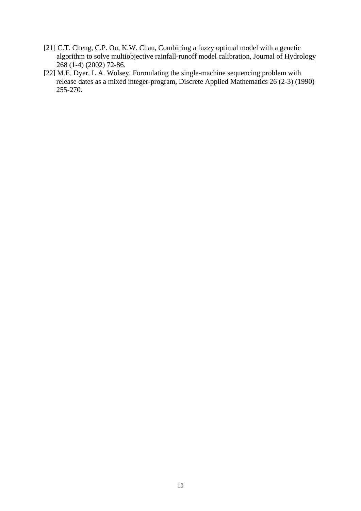- [21] C.T. Cheng, C.P. Ou, K.W. Chau, Combining a fuzzy optimal model with a genetic algorithm to solve multiobjective rainfall-runoff model calibration, Journal of Hydrology 268 (1-4) (2002) 72-86.
- [22] M.E. Dyer, L.A. Wolsey, Formulating the single-machine sequencing problem with release dates as a mixed integer-program, Discrete Applied Mathematics 26 (2-3) (1990) 255-270.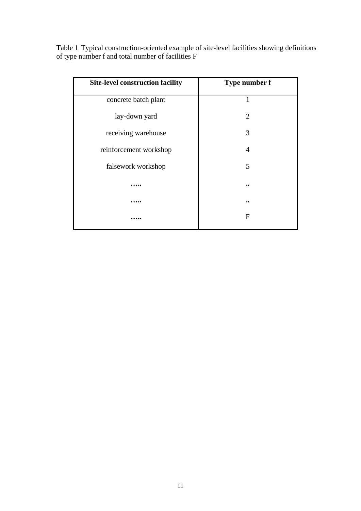Table 1 Typical construction-oriented example of site-level facilities showing definitions of type number f and total number of facilities F

| <b>Site-level construction facility</b> | Type number f |  |
|-----------------------------------------|---------------|--|
| concrete batch plant                    | 1             |  |
| lay-down yard                           | 2             |  |
| receiving warehouse                     | 3             |  |
| reinforcement workshop                  | 4             |  |
| falsework workshop                      | 5             |  |
|                                         |               |  |
|                                         |               |  |
|                                         | F             |  |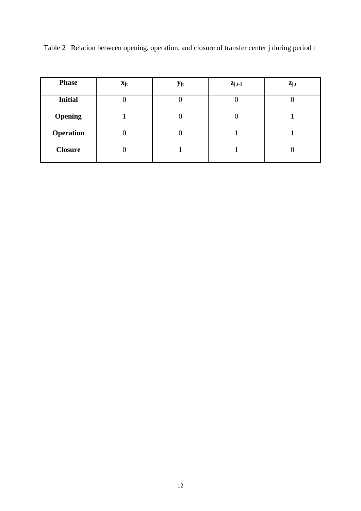| <b>Phase</b>     | $\mathbf{x}_{jt}$ | $y_{jt}$ | $z_{j,t-1}$    | $z_{j,t}$ |
|------------------|-------------------|----------|----------------|-----------|
| <b>Initial</b>   | O                 |          | 0              | O         |
| <b>Opening</b>   |                   |          | $\overline{0}$ |           |
| <b>Operation</b> | $\overline{0}$    |          |                |           |
| <b>Closure</b>   | 0                 |          |                |           |

Table 2 Relation between opening, operation, and closure of transfer center j during period t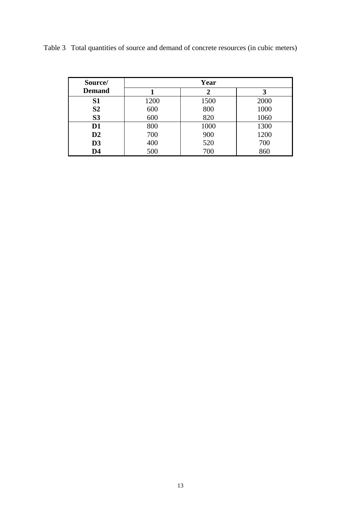| Source/        | Year |      |      |  |
|----------------|------|------|------|--|
| <b>Demand</b>  |      |      |      |  |
| <b>S1</b>      | 1200 | 1500 | 2000 |  |
| S <sub>2</sub> | 600  | 800  | 1000 |  |
| S <sub>3</sub> | 600  | 820  | 1060 |  |
| D <sub>1</sub> | 800  | 1000 | 1300 |  |
| $\mathbf{D2}$  | 700  | 900  | 1200 |  |
| D3             | 400  | 520  | 700  |  |
| D <sub>4</sub> | 500  | 700  | 860  |  |

Table 3 Total quantities of source and demand of concrete resources (in cubic meters)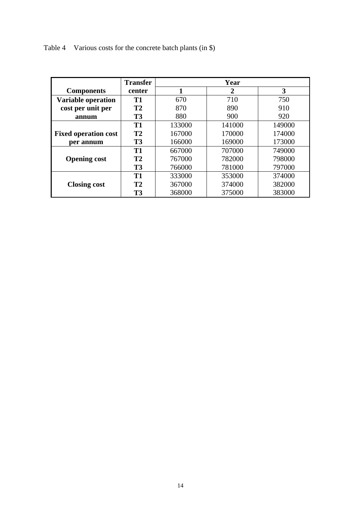Table 4 Various costs for the concrete batch plants (in \$)

|                             | <b>Transfer</b> | Year                |        |        |  |
|-----------------------------|-----------------|---------------------|--------|--------|--|
| <b>Components</b>           | center          | 3<br>$\overline{2}$ |        |        |  |
| <b>Variable operation</b>   | <b>T1</b>       | 710<br>670          |        | 750    |  |
| cost per unit per           | <b>T2</b>       | 870<br>890<br>910   |        |        |  |
| annum                       | <b>T3</b>       | 880<br>900<br>920   |        |        |  |
|                             | <b>T1</b>       | 133000              | 141000 | 149000 |  |
| <b>Fixed operation cost</b> | <b>T2</b>       | 167000              | 170000 | 174000 |  |
| per annum                   | <b>T3</b>       | 166000              | 169000 | 173000 |  |
|                             | <b>T1</b>       | 667000              | 707000 | 749000 |  |
| <b>Opening cost</b>         | <b>T2</b>       | 767000              | 782000 | 798000 |  |
|                             | <b>T3</b>       | 766000              | 781000 | 797000 |  |
|                             | <b>T1</b>       | 333000              | 353000 | 374000 |  |
| <b>Closing cost</b>         | <b>T2</b>       | 367000              | 374000 | 382000 |  |
|                             | <b>T3</b>       | 368000              | 375000 | 383000 |  |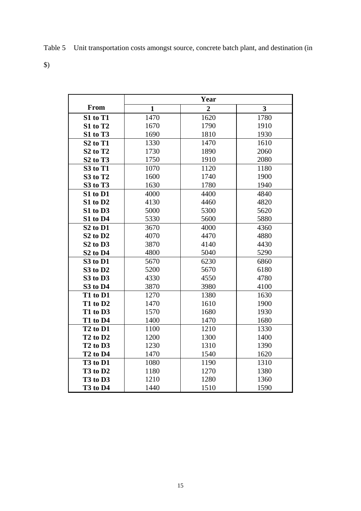Table 5 Unit transportation costs amongst source, concrete batch plant, and destination (in

\$)

|                                  | Year         |                |                         |  |
|----------------------------------|--------------|----------------|-------------------------|--|
| From                             | $\mathbf{1}$ | $\overline{2}$ | $\overline{\mathbf{3}}$ |  |
| S1 to T1                         | 1470         | 1620           | 1780                    |  |
| S1 to T2                         | 1670         | 1790           | 1910                    |  |
| S1 to T3                         | 1690         | 1810<br>1930   |                         |  |
| S <sub>2</sub> to T <sub>1</sub> | 1330         | 1470           | 1610                    |  |
| S <sub>2</sub> to T <sub>2</sub> | 1730         | 1890           | 2060                    |  |
| S <sub>2</sub> to T <sub>3</sub> | 1750         | 1910           | 2080                    |  |
| S3 to T1                         | 1070         | 1120           | 1180                    |  |
| S3 to T2                         | 1600         | 1740           | 1900                    |  |
| S3 to T3                         | 1630         | 1780           | 1940                    |  |
| S1 to D1                         | 4000         | 4400           | 4840                    |  |
| S1 to D2                         | 4130         | 4460           | 4820                    |  |
| S1 to D3                         | 5000         | 5300           | 5620                    |  |
| S1 to D4                         | 5330         | 5600           | 5880                    |  |
| S <sub>2</sub> to D <sub>1</sub> | 3670         | 4000           | 4360                    |  |
| S <sub>2</sub> to D <sub>2</sub> | 4070         | 4470           | 4880                    |  |
| S <sub>2</sub> to D <sub>3</sub> | 3870         | 4140           | 4430                    |  |
| S <sub>2</sub> to D <sub>4</sub> | 4800         | 5040           | 5290                    |  |
| S3 to D1                         | 5670         | 6230           | 6860                    |  |
| S3 to D2                         | 5200         | 5670           | 6180                    |  |
| S3 to D3                         | 4330         | 4550           | 4780                    |  |
| S3 to D4                         | 3870         | 3980           | 4100                    |  |
| T1 to D1                         | 1270         | 1380           | 1630                    |  |
| T1 to D2                         | 1470         | 1610           | 1900                    |  |
| T1 to D3                         | 1570         | 1680           | 1930                    |  |
| T1 to D4                         | 1400         | 1470           | 1680                    |  |
| T <sub>2</sub> to D <sub>1</sub> | 1100         | 1210           | 1330                    |  |
| T <sub>2</sub> to D <sub>2</sub> | 1200         | 1300           | 1400                    |  |
| T <sub>2</sub> to D <sub>3</sub> | 1230         | 1310           | 1390                    |  |
| T <sub>2</sub> to D <sub>4</sub> | 1470         | 1540           | 1620                    |  |
| T <sub>3</sub> to D <sub>1</sub> | 1080         | 1190           | 1310                    |  |
| T <sub>3</sub> to D <sub>2</sub> | 1180         | 1270           | 1380                    |  |
| T <sub>3</sub> to D <sub>3</sub> | 1210         | 1280           | 1360                    |  |
| T <sub>3</sub> to D <sub>4</sub> | 1440         | 1510           | 1590                    |  |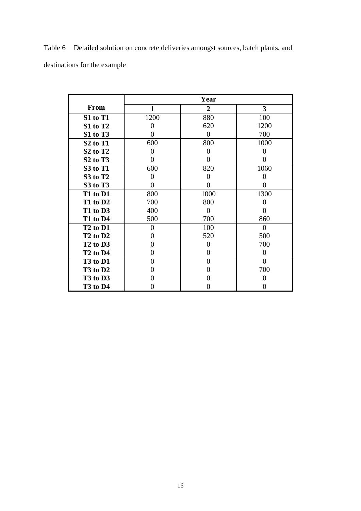Table 6 Detailed solution on concrete deliveries amongst sources, batch plants, and destinations for the example

|                                  | Year           |                |                         |  |
|----------------------------------|----------------|----------------|-------------------------|--|
| <b>From</b>                      | $\mathbf{1}$   | $\overline{2}$ | $\overline{\mathbf{3}}$ |  |
| S1 to T1                         | 1200           | 880            | 100                     |  |
| S1 to T2                         | 0              | 620            | 1200                    |  |
| S1 to T3                         | 0              | $\theta$       | 700                     |  |
| S <sub>2</sub> to T <sub>1</sub> | 600            | 800            | 1000                    |  |
| S <sub>2</sub> to T <sub>2</sub> | 0              | 0              | 0                       |  |
| S <sub>2</sub> to T <sub>3</sub> | 0              | 0              | 0                       |  |
| S3 to T1                         | 600            | 820            | 1060                    |  |
| S3 to T2                         | 0              | $\theta$       | 0                       |  |
| S3 to T3                         | $\Omega$       | $\theta$       | 0                       |  |
| T1 to D1                         | 800            | 1000           | 1300                    |  |
| T1 to D2                         | 700            | 800            | 0                       |  |
| T1 to D3                         | 400            | $\theta$       | $\mathbf{0}$            |  |
| T1 to D4                         | 500            | 700            | 860                     |  |
| T <sub>2</sub> to D <sub>1</sub> | 0              | 100            | $\Omega$                |  |
| T <sub>2</sub> to D <sub>2</sub> | 0              | 520            | 500                     |  |
| T <sub>2</sub> to D <sub>3</sub> | 0              | $\overline{0}$ | 700                     |  |
| T <sub>2</sub> to D <sub>4</sub> | 0              | 0              | 0                       |  |
| T <sub>3</sub> to D <sub>1</sub> | $\overline{0}$ | $\overline{0}$ | $\overline{0}$          |  |
| $T3$ to $D2$                     | 0              | 0              | 700                     |  |
| T <sub>3</sub> to D <sub>3</sub> |                | 0              | 0                       |  |
| T <sub>3</sub> to D <sub>4</sub> |                |                |                         |  |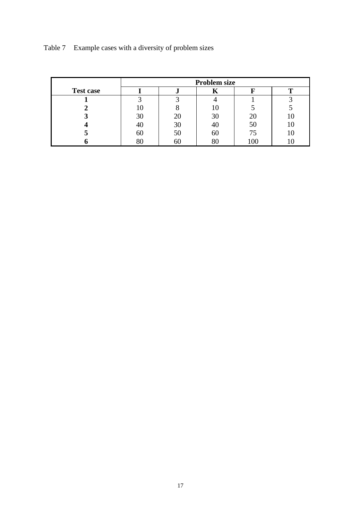|                  | <b>Problem size</b> |    |    |    |  |
|------------------|---------------------|----|----|----|--|
| <b>Test case</b> |                     |    | n  |    |  |
|                  |                     |    |    |    |  |
|                  |                     |    | l0 |    |  |
|                  | 30                  |    | 30 | 20 |  |
|                  |                     | 30 | 40 | 50 |  |
|                  | 60                  |    | 60 | 75 |  |
|                  |                     | hl |    | 00 |  |

Table 7 Example cases with a diversity of problem sizes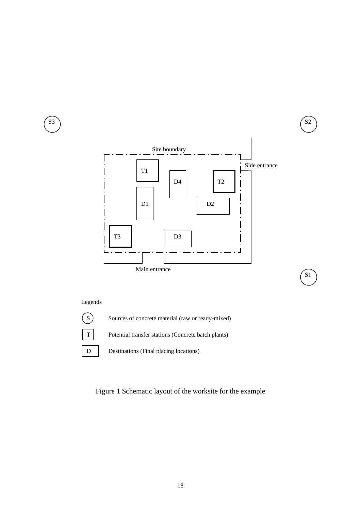

S1

## Legends



Sources of concrete material (raw or ready-mixed)

T Potential transfer stations (Concrete batch plants)

D Destinations (Final placing locations)

Figure 1 Schematic layout of the worksite for the example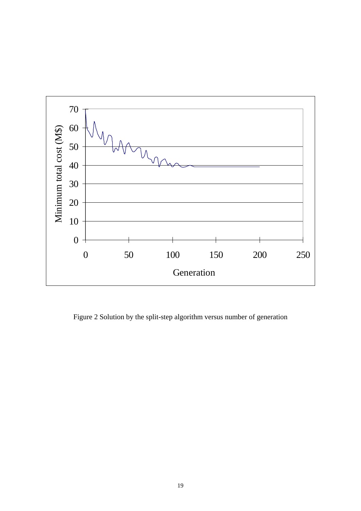

Figure 2 Solution by the split-step algorithm versus number of generation